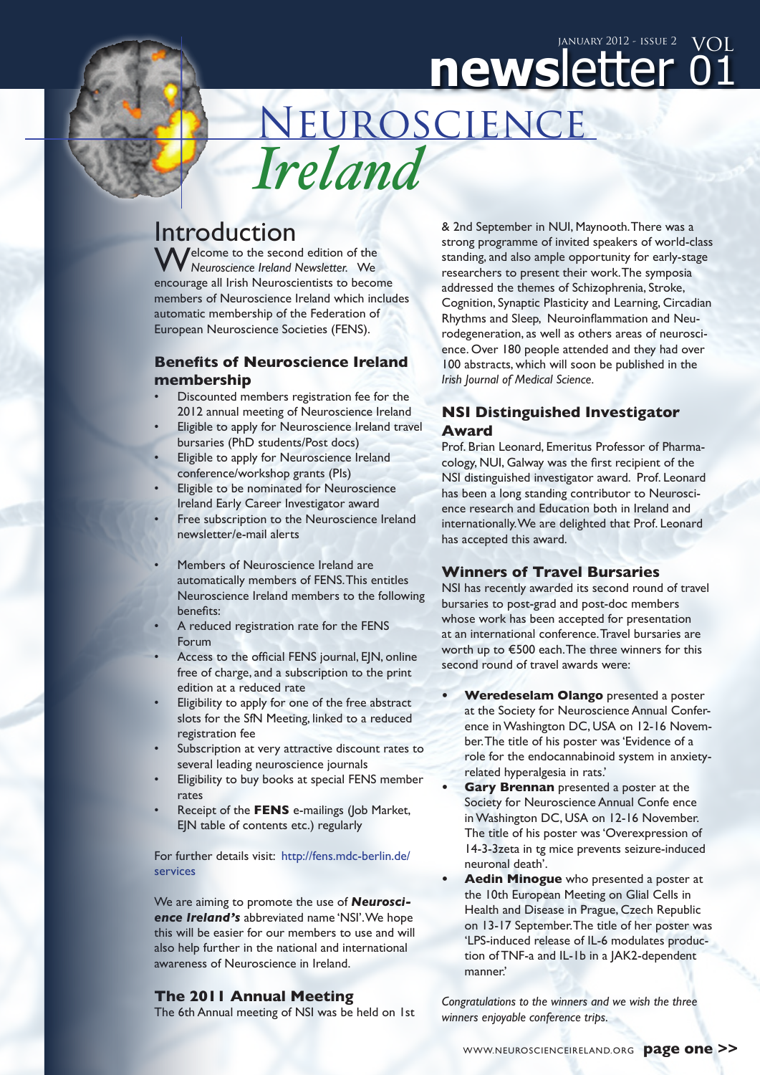# newsletter o1 January 2012 - issue 2  $\text{VOL}$

Neuroscience *Ireland*

# Introduction

**/**elcome to the second edition of the *Neuroscience Ireland Newsletter.* We encourage all Irish Neuroscientists to become members of Neuroscience Ireland which includes automatic membership of the Federation of European Neuroscience Societies (FENS).

### **Benefits of Neuroscience Ireland membership**

- Discounted members registration fee for the 2012 annual meeting of Neuroscience Ireland
- Eligible to apply for Neuroscience Ireland travel bursaries (PhD students/Post docs)
- Eligible to apply for Neuroscience Ireland conference/workshop grants (PIs)
- Eligible to be nominated for Neuroscience Ireland Early Career Investigator award
- Free subscription to the Neuroscience Ireland newsletter/e-mail alerts
- Members of Neuroscience Ireland are automatically members of FENS. This entitles Neuroscience Ireland members to the following benefits:
- A reduced registration rate for the FENS Forum
- Access to the official FENS journal, EJN, online free of charge, and a subscription to the print edition at a reduced rate
- Eligibility to apply for one of the free abstract slots for the SfN Meeting, linked to a reduced registration fee
- Subscription at very attractive discount rates to several leading neuroscience journals
- Eligibility to buy books at special FENS member rates
- Receipt of the FENS e-mailings (Job Market, EJN table of contents etc.) regularly

For further details visit: [http://fens.mdc-berlin.de/](http://www.fens.org/services/) [services](http://www.fens.org/services/)

We are aiming to promote the use of *Neuroscience Ireland's* abbreviated name 'NSI'. We hope this will be easier for our members to use and will also help further in the national and international awareness of Neuroscience in Ireland.

#### **The 2011 Annual Meeting**

The 6th Annual meeting of NSI was be held on 1st

& 2nd September in NUI, Maynooth.There was a strong programme of invited speakers of world-class standing, and also ample opportunity for early-stage researchers to present their work. The symposia addressed the themes of Schizophrenia, Stroke, Cognition, Synaptic Plasticity and Learning, Circadian Rhythms and Sleep, Neuroinflammation and Neurodegeneration, as well as others areas of neuroscience. Over 180 people attended and they had over 100 abstracts, which will soon be published in the *Irish Journal of Medical Science.*

## **NSI Distinguished Investigator Award**

Prof. Brian Leonard, Emeritus Professor of Pharmacology, NUI, Galway was the first recipient of the NSI distinguished investigator award. Prof. Leonard has been a long standing contributor to Neuroscience research and Education both in Ireland and internationally.We are delighted that Prof. Leonard has accepted this award.

#### **Winners of Travel Bursaries**

NSI has recently awarded its second round of travel bursaries to post-grad and post-doc members whose work has been accepted for presentation at an international conference. Travel bursaries are worth up to €500 each. The three winners for this second round of travel awards were:

- **• Weredeselam Olango** presented a poster at the Society for Neuroscience Annual Conference inWashington DC, USA on 12-16 November. The title of his poster was 'Evidence of a role for the endocannabinoid system in anxietyrelated hyperalgesia in rats.'
- **Gary Brennan** presented a poster at the Society for Neuroscience Annual Confe ence inWashington DC, USA on 12-16 November. The title of his poster was 'Overexpression of 14-3-3zeta in tg mice prevents seizure-induced neuronal death'.
- **• Aedin Minogue** who presented a poster at the 10th European Meeting on Glial Cells in Health and Disease in Prague, Czech Republic on 13-17 September. The title of her poster was 'LPS-induced release of IL-6 modulates production of TNF-a and IL-1b in a JAK2-dependent manner.'

*Congratulations to the winners and we wish the three winners enjoyable conference trips.*